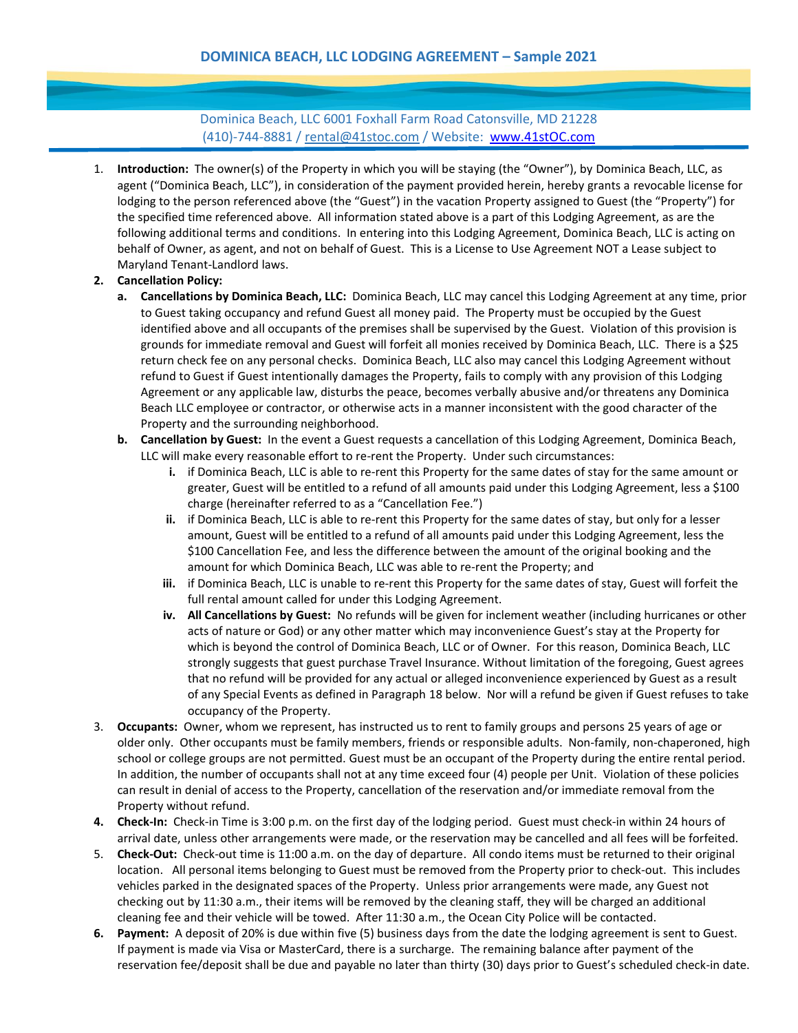Dominica Beach, LLC 6001 Foxhall Farm Road Catonsville, MD 21228 (410)-744-8881 / [rental@41stoc.com](mailto:rental@41stoc.com) / Website: [www.41stOC.com](http://www.41stoc.com/)

1. **Introduction:** The owner(s) of the Property in which you will be staying (the "Owner"), by Dominica Beach, LLC, as agent ("Dominica Beach, LLC"), in consideration of the payment provided herein, hereby grants a revocable license for lodging to the person referenced above (the "Guest") in the vacation Property assigned to Guest (the "Property") for the specified time referenced above. All information stated above is a part of this Lodging Agreement, as are the following additional terms and conditions. In entering into this Lodging Agreement, Dominica Beach, LLC is acting on behalf of Owner, as agent, and not on behalf of Guest. This is a License to Use Agreement NOT a Lease subject to Maryland Tenant-Landlord laws.

## **2. Cancellation Policy:**

- **a. Cancellations by Dominica Beach, LLC:** Dominica Beach, LLC may cancel this Lodging Agreement at any time, prior to Guest taking occupancy and refund Guest all money paid. The Property must be occupied by the Guest identified above and all occupants of the premises shall be supervised by the Guest. Violation of this provision is grounds for immediate removal and Guest will forfeit all monies received by Dominica Beach, LLC. There is a \$25 return check fee on any personal checks. Dominica Beach, LLC also may cancel this Lodging Agreement without refund to Guest if Guest intentionally damages the Property, fails to comply with any provision of this Lodging Agreement or any applicable law, disturbs the peace, becomes verbally abusive and/or threatens any Dominica Beach LLC employee or contractor, or otherwise acts in a manner inconsistent with the good character of the Property and the surrounding neighborhood.
- **b. Cancellation by Guest:** In the event a Guest requests a cancellation of this Lodging Agreement, Dominica Beach, LLC will make every reasonable effort to re-rent the Property. Under such circumstances:
	- **i.** if Dominica Beach, LLC is able to re-rent this Property for the same dates of stay for the same amount or greater, Guest will be entitled to a refund of all amounts paid under this Lodging Agreement, less a \$100 charge (hereinafter referred to as a "Cancellation Fee.")
	- **ii.** if Dominica Beach, LLC is able to re-rent this Property for the same dates of stay, but only for a lesser amount, Guest will be entitled to a refund of all amounts paid under this Lodging Agreement, less the \$100 Cancellation Fee, and less the difference between the amount of the original booking and the amount for which Dominica Beach, LLC was able to re-rent the Property; and
	- **iii.** if Dominica Beach, LLC is unable to re-rent this Property for the same dates of stay, Guest will forfeit the full rental amount called for under this Lodging Agreement.
	- **iv. All Cancellations by Guest:** No refunds will be given for inclement weather (including hurricanes or other acts of nature or God) or any other matter which may inconvenience Guest's stay at the Property for which is beyond the control of Dominica Beach, LLC or of Owner. For this reason, Dominica Beach, LLC strongly suggests that guest purchase Travel Insurance. Without limitation of the foregoing, Guest agrees that no refund will be provided for any actual or alleged inconvenience experienced by Guest as a result of any Special Events as defined in Paragraph 18 below. Nor will a refund be given if Guest refuses to take occupancy of the Property.
- 3. **Occupants:** Owner, whom we represent, has instructed us to rent to family groups and persons 25 years of age or older only. Other occupants must be family members, friends or responsible adults. Non-family, non-chaperoned, high school or college groups are not permitted. Guest must be an occupant of the Property during the entire rental period. In addition, the number of occupants shall not at any time exceed four (4) people per Unit. Violation of these policies can result in denial of access to the Property, cancellation of the reservation and/or immediate removal from the Property without refund.
- **4. Check-In:** Check-in Time is 3:00 p.m. on the first day of the lodging period. Guest must check-in within 24 hours of arrival date, unless other arrangements were made, or the reservation may be cancelled and all fees will be forfeited.
- 5. **Check-Out:** Check-out time is 11:00 a.m. on the day of departure. All condo items must be returned to their original location. All personal items belonging to Guest must be removed from the Property prior to check-out. This includes vehicles parked in the designated spaces of the Property. Unless prior arrangements were made, any Guest not checking out by 11:30 a.m., their items will be removed by the cleaning staff, they will be charged an additional cleaning fee and their vehicle will be towed. After 11:30 a.m., the Ocean City Police will be contacted.
- **6. Payment:** A deposit of 20% is due within five (5) business days from the date the lodging agreement is sent to Guest. If payment is made via Visa or MasterCard, there is a surcharge. The remaining balance after payment of the reservation fee/deposit shall be due and payable no later than thirty (30) days prior to Guest's scheduled check-in date.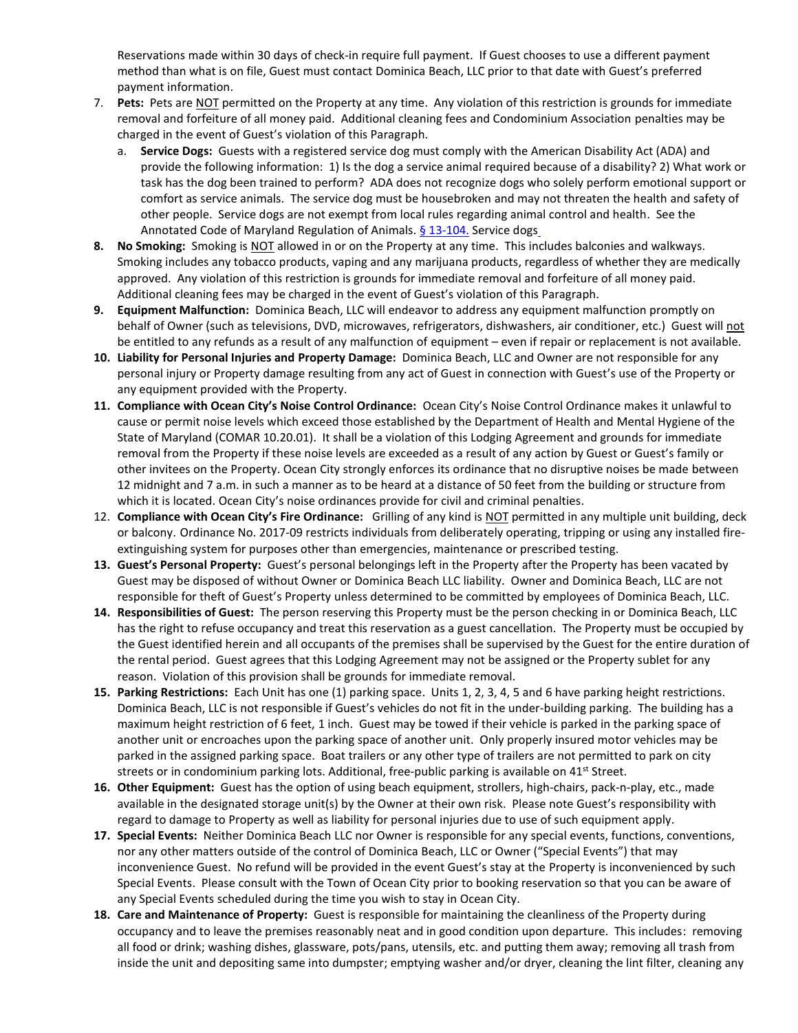Reservations made within 30 days of check-in require full payment. If Guest chooses to use a different payment method than what is on file, Guest must contact Dominica Beach, LLC prior to that date with Guest's preferred payment information.

- 7. **Pets:** Pets are NOT permitted on the Property at any time. Any violation of this restriction is grounds for immediate removal and forfeiture of all money paid. Additional cleaning fees and Condominium Association penalties may be charged in the event of Guest's violation of this Paragraph.
	- a. **Service Dogs:** Guests with a registered service dog must comply with the American Disability Act (ADA) and provide the following information: 1) Is the dog a service animal required because of a disability? 2) What work or task has the dog been trained to perform? ADA does not recognize dogs who solely perform emotional support or comfort as service animals. The service dog must be housebroken and may not threaten the health and safety of other people. Service dogs are not exempt from local rules regarding animal control and health. See the Annotated Code of Maryland Regulation of Animals. [§ 13-104.](https://www.animallaw.info/statute/md-assistance-animal-assistance-animalguide-dog-laws#s13104) Service dog[s](https://www.animallaw.info/statute/md-assistance-animal-assistance-animalguide-dog-laws#s11_502)\_
- **8. No Smoking:** Smoking is NOT allowed in or on the Property at any time. This includes balconies and walkways. Smoking includes any tobacco products, vaping and any marijuana products, regardless of whether they are medically approved. Any violation of this restriction is grounds for immediate removal and forfeiture of all money paid. Additional cleaning fees may be charged in the event of Guest's violation of this Paragraph.
- **9. Equipment Malfunction:** Dominica Beach, LLC will endeavor to address any equipment malfunction promptly on behalf of Owner (such as televisions, DVD, microwaves, refrigerators, dishwashers, air conditioner, etc.) Guest will not be entitled to any refunds as a result of any malfunction of equipment – even if repair or replacement is not available.
- **10. Liability for Personal Injuries and Property Damage:** Dominica Beach, LLC and Owner are not responsible for any personal injury or Property damage resulting from any act of Guest in connection with Guest's use of the Property or any equipment provided with the Property.
- **11. Compliance with Ocean City's Noise Control Ordinance:** Ocean City's Noise Control Ordinance makes it unlawful to cause or permit noise levels which exceed those established by the Department of Health and Mental Hygiene of the State of Maryland (COMAR 10.20.01). It shall be a violation of this Lodging Agreement and grounds for immediate removal from the Property if these noise levels are exceeded as a result of any action by Guest or Guest's family or other invitees on the Property. Ocean City strongly enforces its ordinance that no disruptive noises be made between 12 midnight and 7 a.m. in such a manner as to be heard at a distance of 50 feet from the building or structure from which it is located. Ocean City's noise ordinances provide for civil and criminal penalties.
- 12. **Compliance with Ocean City's Fire Ordinance:** Grilling of any kind is NOT permitted in any multiple unit building, deck or balcony. Ordinance No. 2017-09 restricts individuals from deliberately operating, tripping or using any installed fireextinguishing system for purposes other than emergencies, maintenance or prescribed testing.
- **13. Guest's Personal Property:** Guest's personal belongings left in the Property after the Property has been vacated by Guest may be disposed of without Owner or Dominica Beach LLC liability. Owner and Dominica Beach, LLC are not responsible for theft of Guest's Property unless determined to be committed by employees of Dominica Beach, LLC.
- **14. Responsibilities of Guest:** The person reserving this Property must be the person checking in or Dominica Beach, LLC has the right to refuse occupancy and treat this reservation as a guest cancellation. The Property must be occupied by the Guest identified herein and all occupants of the premises shall be supervised by the Guest for the entire duration of the rental period. Guest agrees that this Lodging Agreement may not be assigned or the Property sublet for any reason. Violation of this provision shall be grounds for immediate removal.
- **15. Parking Restrictions:** Each Unit has one (1) parking space.Units 1, 2, 3, 4, 5 and 6 have parking height restrictions. Dominica Beach, LLC is not responsible if Guest's vehicles do not fit in the under-building parking. The building has a maximum height restriction of 6 feet, 1 inch. Guest may be towed if their vehicle is parked in the parking space of another unit or encroaches upon the parking space of another unit. Only properly insured motor vehicles may be parked in the assigned parking space. Boat trailers or any other type of trailers are not permitted to park on city streets or in condominium parking lots. Additional, free-public parking is available on 41<sup>st</sup> Street.
- **16. Other Equipment:** Guest has the option of using beach equipment, strollers, high-chairs, pack-n-play, etc., made available in the designated storage unit(s) by the Owner at their own risk. Please note Guest's responsibility with regard to damage to Property as well as liability for personal injuries due to use of such equipment apply.
- **17. Special Events:** Neither Dominica Beach LLC nor Owner is responsible for any special events, functions, conventions, nor any other matters outside of the control of Dominica Beach, LLC or Owner ("Special Events") that may inconvenience Guest. No refund will be provided in the event Guest's stay at the Property is inconvenienced by such Special Events. Please consult with the Town of Ocean City prior to booking reservation so that you can be aware of any Special Events scheduled during the time you wish to stay in Ocean City.
- **18. Care and Maintenance of Property:** Guest is responsible for maintaining the cleanliness of the Property during occupancy and to leave the premises reasonably neat and in good condition upon departure. This includes: removing all food or drink; washing dishes, glassware, pots/pans, utensils, etc. and putting them away; removing all trash from inside the unit and depositing same into dumpster; emptying washer and/or dryer, cleaning the lint filter, cleaning any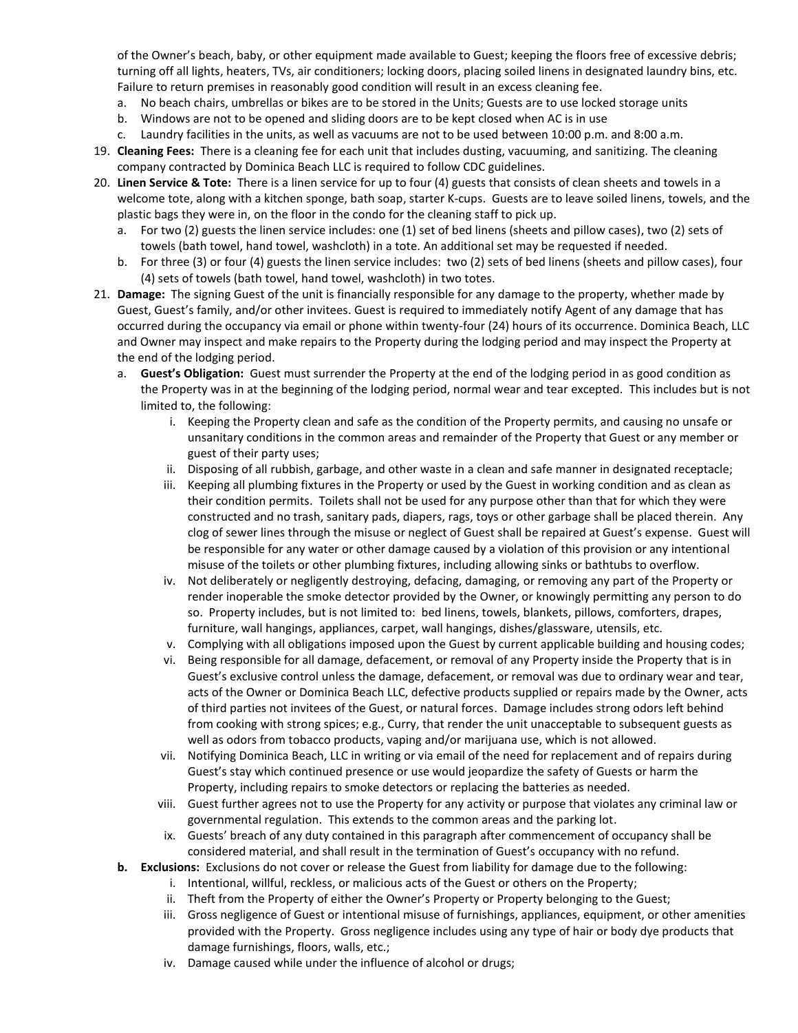of the Owner's beach, baby, or other equipment made available to Guest; keeping the floors free of excessive debris; turning off all lights, heaters, TVs, air conditioners; locking doors, placing soiled linens in designated laundry bins, etc. Failure to return premises in reasonably good condition will result in an excess cleaning fee.

- a. No beach chairs, umbrellas or bikes are to be stored in the Units; Guests are to use locked storage units
- b. Windows are not to be opened and sliding doors are to be kept closed when AC is in use
- c. Laundry facilities in the units, as well as vacuums are not to be used between 10:00 p.m. and 8:00 a.m.
- 19. **Cleaning Fees:** There is a cleaning fee for each unit that includes dusting, vacuuming, and sanitizing. The cleaning company contracted by Dominica Beach LLC is required to follow CDC guidelines.
- 20. **Linen Service & Tote:** There is a linen service for up to four (4) guests that consists of clean sheets and towels in a welcome tote, along with a kitchen sponge, bath soap, starter K-cups. Guests are to leave soiled linens, towels, and the plastic bags they were in, on the floor in the condo for the cleaning staff to pick up.
	- a. For two (2) guests the linen service includes: one (1) set of bed linens (sheets and pillow cases), two (2) sets of towels (bath towel, hand towel, washcloth) in a tote. An additional set may be requested if needed.
	- b. For three (3) or four (4) guests the linen service includes: two (2) sets of bed linens (sheets and pillow cases), four (4) sets of towels (bath towel, hand towel, washcloth) in two totes.
- 21. **Damage:** The signing Guest of the unit is financially responsible for any damage to the property, whether made by Guest, Guest's family, and/or other invitees. Guest is required to immediately notify Agent of any damage that has occurred during the occupancy via email or phone within twenty-four (24) hours of its occurrence. Dominica Beach, LLC and Owner may inspect and make repairs to the Property during the lodging period and may inspect the Property at the end of the lodging period.
	- a. **Guest's Obligation:** Guest must surrender the Property at the end of the lodging period in as good condition as the Property was in at the beginning of the lodging period, normal wear and tear excepted. This includes but is not limited to, the following:
		- i. Keeping the Property clean and safe as the condition of the Property permits, and causing no unsafe or unsanitary conditions in the common areas and remainder of the Property that Guest or any member or guest of their party uses;
		- ii. Disposing of all rubbish, garbage, and other waste in a clean and safe manner in designated receptacle;
		- iii. Keeping all plumbing fixtures in the Property or used by the Guest in working condition and as clean as their condition permits. Toilets shall not be used for any purpose other than that for which they were constructed and no trash, sanitary pads, diapers, rags, toys or other garbage shall be placed therein. Any clog of sewer lines through the misuse or neglect of Guest shall be repaired at Guest's expense. Guest will be responsible for any water or other damage caused by a violation of this provision or any intentional misuse of the toilets or other plumbing fixtures, including allowing sinks or bathtubs to overflow.
		- iv. Not deliberately or negligently destroying, defacing, damaging, or removing any part of the Property or render inoperable the smoke detector provided by the Owner, or knowingly permitting any person to do so. Property includes, but is not limited to: bed linens, towels, blankets, pillows, comforters, drapes, furniture, wall hangings, appliances, carpet, wall hangings, dishes/glassware, utensils, etc.
		- v. Complying with all obligations imposed upon the Guest by current applicable building and housing codes;
		- vi. Being responsible for all damage, defacement, or removal of any Property inside the Property that is in Guest's exclusive control unless the damage, defacement, or removal was due to ordinary wear and tear, acts of the Owner or Dominica Beach LLC, defective products supplied or repairs made by the Owner, acts of third parties not invitees of the Guest, or natural forces. Damage includes strong odors left behind from cooking with strong spices; e.g., Curry, that render the unit unacceptable to subsequent guests as well as odors from tobacco products, vaping and/or marijuana use, which is not allowed.
		- vii. Notifying Dominica Beach, LLC in writing or via email of the need for replacement and of repairs during Guest's stay which continued presence or use would jeopardize the safety of Guests or harm the Property, including repairs to smoke detectors or replacing the batteries as needed.
		- viii. Guest further agrees not to use the Property for any activity or purpose that violates any criminal law or governmental regulation. This extends to the common areas and the parking lot.
		- ix. Guests' breach of any duty contained in this paragraph after commencement of occupancy shall be considered material, and shall result in the termination of Guest's occupancy with no refund.
	- **b. Exclusions:** Exclusions do not cover or release the Guest from liability for damage due to the following:
		- i. Intentional, willful, reckless, or malicious acts of the Guest or others on the Property;
		- ii. Theft from the Property of either the Owner's Property or Property belonging to the Guest;
		- iii. Gross negligence of Guest or intentional misuse of furnishings, appliances, equipment, or other amenities provided with the Property. Gross negligence includes using any type of hair or body dye products that damage furnishings, floors, walls, etc.;
		- iv. Damage caused while under the influence of alcohol or drugs;